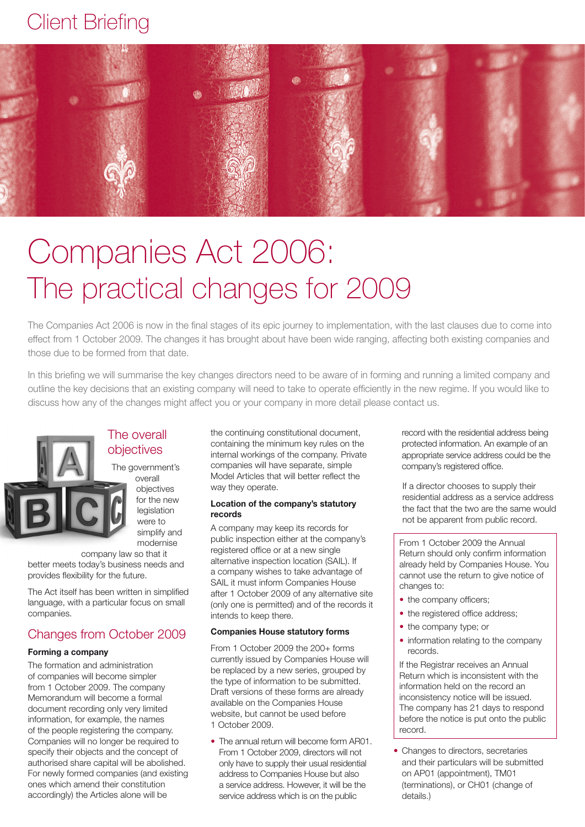# Client Briefing



# Companies Act 2006: The practical changes for 2009

The Companies Act 2006 is now in the final stages of its epic journey to implementation, with the last clauses due to come into effect from 1 October 2009. The changes it has brought about have been wide ranging, affecting both existing companies and those due to be formed from that date.

In this briefing we will summarise the key changes directors need to be aware of in forming and running a limited company and outline the key decisions that an existing company will need to take to operate efficiently in the new regime. If you would like to discuss how any of the changes might affect you or your company in more detail please contact us.



# The overall objectives

The government's overall objectives for the new

> legislation were to simplify and modernise

company law so that it better meets today's business needs and provides flexibility for the future.

The Act itself has been written in simplified language, with a particular focus on small companies.

## Changes from October 2009

#### **Forming a company**

The formation and administration of companies will become simpler from 1 October 2009. The company Memorandum will become a formal document recording only very limited information, for example, the names of the people registering the company. Companies will no longer be required to specify their objects and the concept of authorised share capital will be abolished. For newly formed companies (and existing ones which amend their constitution accordingly) the Articles alone will be

the continuing constitutional document, containing the minimum key rules on the internal workings of the company. Private companies will have separate, simple Model Articles that will better reflect the way they operate.

#### **Location of the company's statutory records**

A company may keep its records for public inspection either at the company's registered office or at a new single alternative inspection location (SAIL). If a company wishes to take advantage of SAIL it must inform Companies House after 1 October 2009 of any alternative site (only one is permitted) and of the records it intends to keep there.

#### **Companies House statutory forms**

From 1 October 2009 the 200+ forms currently issued by Companies House will be replaced by a new series, grouped by the type of information to be submitted. Draft versions of these forms are already available on the Companies House website, but cannot be used before 1 October 2009.

• The annual return will become form AR01. From 1 October 2009, directors will not only have to supply their usual residential address to Companies House but also a service address. However, it will be the service address which is on the public

record with the residential address being protected information. An example of an appropriate service address could be the company's registered office.

If a director chooses to supply their residential address as a service address the fact that the two are the same would not be apparent from public record.

From 1 October 2009 the Annual Return should only confirm information already held by Companies House. You cannot use the return to give notice of changes to:

- the company officers;
- the registered office address;
- the company type; or
- information relating to the company records.

If the Registrar receives an Annual Return which is inconsistent with the information held on the record an inconsistency notice will be issued. The company has 21 days to respond before the notice is put onto the public record.

• Changes to directors, secretaries and their particulars will be submitted on AP01 (appointment), TM01 (terminations), or CH01 (change of details.)